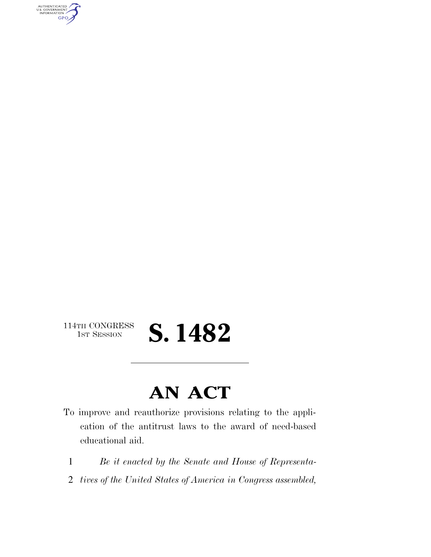AUTHENTICATED<br>U.S. GOVERNMENT<br>INFORMATION **GPO** 

## 114TH CONGRESS<br>1st Session **S. 1482**

## **AN ACT**

- To improve and reauthorize provisions relating to the application of the antitrust laws to the award of need-based educational aid.
	- 1 *Be it enacted by the Senate and House of Representa-*
	- 2 *tives of the United States of America in Congress assembled,*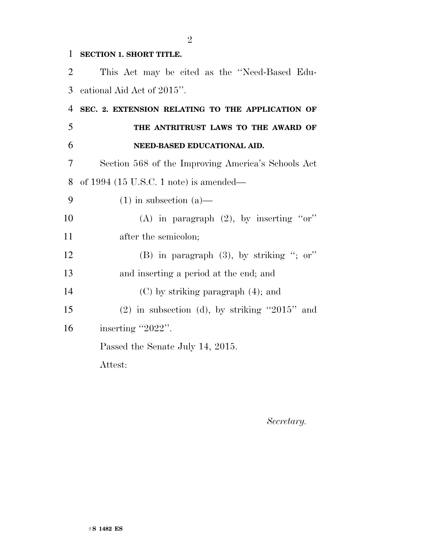## **SECTION 1. SHORT TITLE.**

 This Act may be cited as the ''Need-Based Edu- cational Aid Act of 2015''. **SEC. 2. EXTENSION RELATING TO THE APPLICATION OF THE ANTRITRUST LAWS TO THE AWARD OF NEED-BASED EDUCATIONAL AID.**  Section 568 of the Improving America's Schools Act of 1994 (15 U.S.C. 1 note) is amended—  $(1)$  in subsection  $(a)$ — 10 (A) in paragraph  $(2)$ , by inserting "or" 11 after the semicolon; (B) in paragraph (3), by striking ''; or'' and inserting a period at the end; and (C) by striking paragraph (4); and (2) in subsection (d), by striking ''2015'' and 16 inserting "2022". Passed the Senate July 14, 2015. Attest:

*Secretary.*